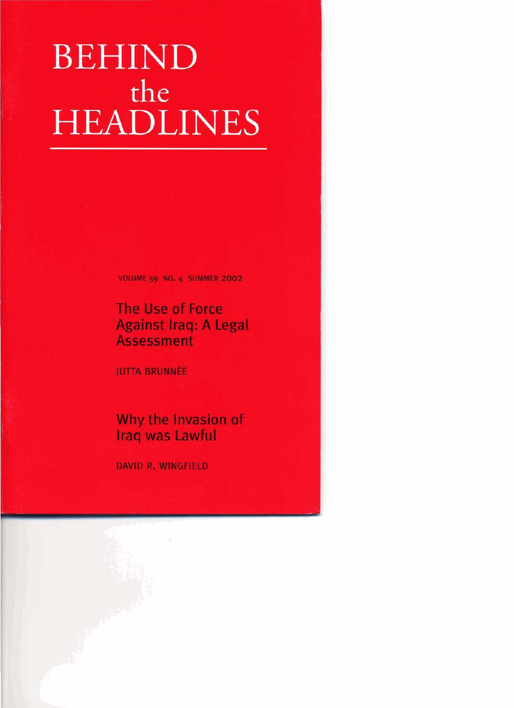## BEHIND the HEADLINES

**VOLUME 59 NO. 4 SUMMER 2002** 

**The Use of Force Against Iraq: A Legal Assessment** 

**JUTTA BRUNNÉE** 

**Why the Invasion of Iraq was Lawful** 

**DAVID R. WINGFIELD**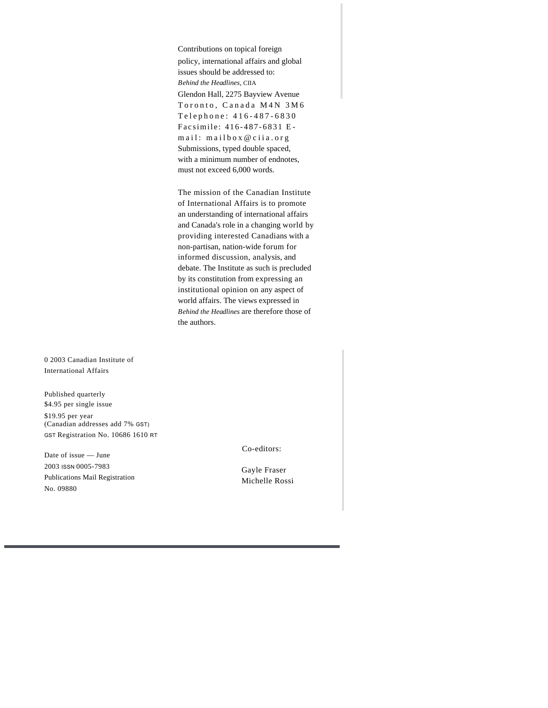Contributions on topical foreign policy, international affairs and global issues should be addressed to: *Behind the Headlines,* CIIA Glendon Hall, 2275 Bayview Avenue Toronto, Canada M4N 3M6 Telephone: 416-487-6830 Facsimile: 416-487-6831 E mail: mailbox@ciia.org Submissions, typed double spaced, with a minimum number of endnotes. must not exceed 6,000 words.

The mission of the Canadian Institute of International Affairs is to promote an understanding of international affairs and Canada's role in a changing world by providing interested Canadians with a non-partisan, nation-wide forum for informed discussion, analysis, and debate. The Institute as such is precluded by its constitution from expressing an institutional opinion on any aspect of world affairs. The views expressed in *Behind the Headlines* are therefore those of the authors.

0 2003 Canadian Institute of International Affairs

Published quarterly \$4.95 per single issue

\$19.95 per year (Canadian addresses add 7% GST) GST Registration No. 10686 1610 RT

Date of issue — June 2003 ISSN 0005-7983 Publications Mail Registration No. 09880

Co-editors:

Gayle Fraser Michelle Rossi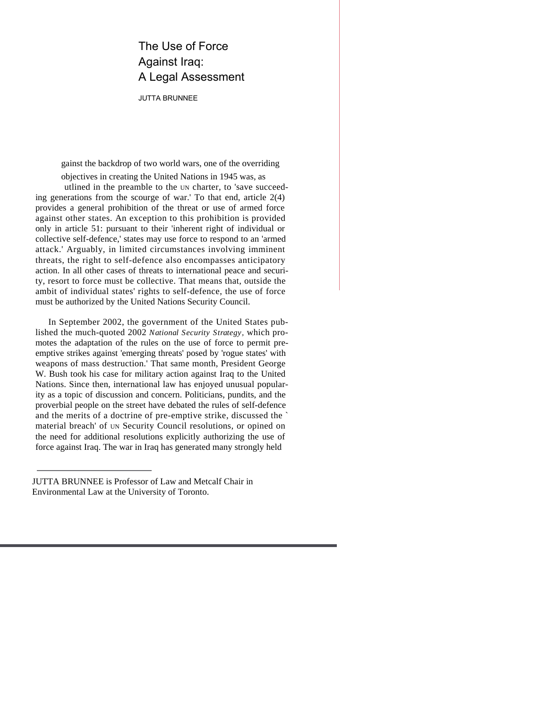## The Use of Force Against Iraq: A Legal Assessment

JUTTA BRUNNEE

gainst the backdrop of two world wars, one of the overriding objectives in creating the United Nations in 1945 was, as utlined in the preamble to the UN charter, to 'save succeeding generations from the scourge of war.' To that end, article 2(4) provides a general prohibition of the threat or use of armed force against other states. An exception to this prohibition is provided only in article 51: pursuant to their 'inherent right of individual or collective self-defence,' states may use force to respond to an 'armed attack.' Arguably, in limited circumstances involving imminent threats, the right to self-defence also encompasses anticipatory action. In all other cases of threats to international peace and security, resort to force must be collective. That means that, outside the ambit of individual states' rights to self-defence, the use of force must be authorized by the United Nations Security Council.

In September 2002, the government of the United States published the much-quoted 2002 *National Security Strategy,* which promotes the adaptation of the rules on the use of force to permit preemptive strikes against 'emerging threats' posed by 'rogue states' with weapons of mass destruction.' That same month, President George W. Bush took his case for military action against Iraq to the United Nations. Since then, international law has enjoyed unusual popularity as a topic of discussion and concern. Politicians, pundits, and the proverbial people on the street have debated the rules of self-defence and the merits of a doctrine of pre-emptive strike, discussed the ` material breach' of UN Security Council resolutions, or opined on the need for additional resolutions explicitly authorizing the use of force against Iraq. The war in Iraq has generated many strongly held

JUTTA BRUNNEE is Professor of Law and Metcalf Chair in Environmental Law at the University of Toronto.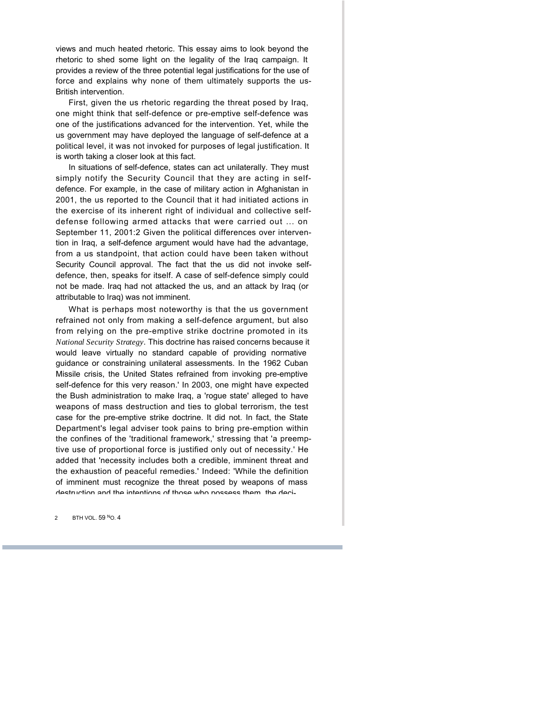views and much heated rhetoric. This essay aims to look beyond the rhetoric to shed some light on the legality of the Iraq campaign. It provides a review of the three potential legal justifications for the use of force and explains why none of them ultimately supports the us-British intervention.

First, given the us rhetoric regarding the threat posed by Iraq, one might think that self-defence or pre-emptive self-defence was one of the justifications advanced for the intervention. Yet, while the us government may have deployed the language of self-defence at a political level, it was not invoked for purposes of legal justification. It is worth taking a closer look at this fact.

In situations of self-defence, states can act unilaterally. They must simply notify the Security Council that they are acting in selfdefence. For example, in the case of military action in Afghanistan in 2001, the us reported to the Council that it had initiated actions in the exercise of its inherent right of individual and collective selfdefense following armed attacks that were carried out ... on September 11, 2001:2 Given the political differences over intervention in Iraq, a self-defence argument would have had the advantage, from a us standpoint, that action could have been taken without Security Council approval. The fact that the us did not invoke selfdefence, then, speaks for itself. A case of self-defence simply could not be made. Iraq had not attacked the us, and an attack by Iraq (or attributable to Iraq) was not imminent.

What is perhaps most noteworthy is that the us government refrained not only from making a self-defence argument, but also from relying on the pre-emptive strike doctrine promoted in its *National Security Strategy.* This doctrine has raised concerns because it would leave virtually no standard capable of providing normative guidance or constraining unilateral assessments. In the 1962 Cuban Missile crisis, the United States refrained from invoking pre-emptive self-defence for this very reason.' In 2003, one might have expected the Bush administration to make Iraq, a 'rogue state' alleged to have weapons of mass destruction and ties to global terrorism, the test case for the pre-emptive strike doctrine. It did not. In fact, the State Department's legal adviser took pains to bring pre-emption within the confines of the 'traditional framework,' stressing that 'a preemptive use of proportional force is justified only out of necessity.' He added that 'necessity includes both a credible, imminent threat and the exhaustion of peaceful remedies.' Indeed: 'While the definition of imminent must recognize the threat posed by weapons of mass destruction and the intentions of those who possess them, the deci-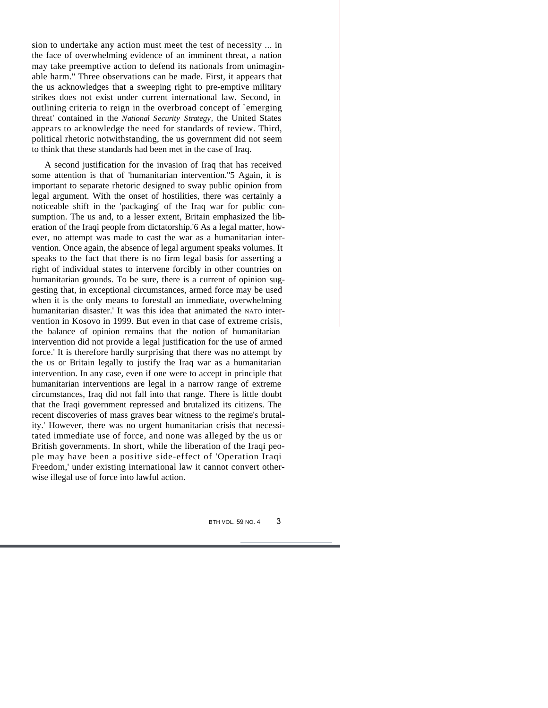sion to undertake any action must meet the test of necessity ... in the face of overwhelming evidence of an imminent threat, a nation may take preemptive action to defend its nationals from unimaginable harm.'' Three observations can be made. First, it appears that the us acknowledges that a sweeping right to pre-emptive military strikes does not exist under current international law. Second, in outlining criteria to reign in the overbroad concept of `emerging threat' contained in the *National Security Strategy,* the United States appears to acknowledge the need for standards of review. Third, political rhetoric notwithstanding, the us government did not seem to think that these standards had been met in the case of Iraq.

A second justification for the invasion of Iraq that has received some attention is that of 'humanitarian intervention.''5 Again, it is important to separate rhetoric designed to sway public opinion from legal argument. With the onset of hostilities, there was certainly a noticeable shift in the 'packaging' of the Iraq war for public consumption. The us and, to a lesser extent, Britain emphasized the liberation of the Iraqi people from dictatorship.'6 As a legal matter, however, no attempt was made to cast the war as a humanitarian intervention. Once again, the absence of legal argument speaks volumes. It speaks to the fact that there is no firm legal basis for asserting a right of individual states to intervene forcibly in other countries on humanitarian grounds. To be sure, there is a current of opinion suggesting that, in exceptional circumstances, armed force may be used when it is the only means to forestall an immediate, overwhelming humanitarian disaster.' It was this idea that animated the NATO intervention in Kosovo in 1999. But even in that case of extreme crisis, the balance of opinion remains that the notion of humanitarian intervention did not provide a legal justification for the use of armed force.' It is therefore hardly surprising that there was no attempt by the US or Britain legally to justify the Iraq war as a humanitarian intervention. In any case, even if one were to accept in principle that humanitarian interventions are legal in a narrow range of extreme circumstances, Iraq did not fall into that range. There is little doubt that the Iraqi government repressed and brutalized its citizens. The recent discoveries of mass graves bear witness to the regime's brutality.' However, there was no urgent humanitarian crisis that necessitated immediate use of force, and none was alleged by the us or British governments. In short, while the liberation of the Iraqi people may have been a positive side-effect of 'Operation Iraqi Freedom,' under existing international law it cannot convert otherwise illegal use of force into lawful action.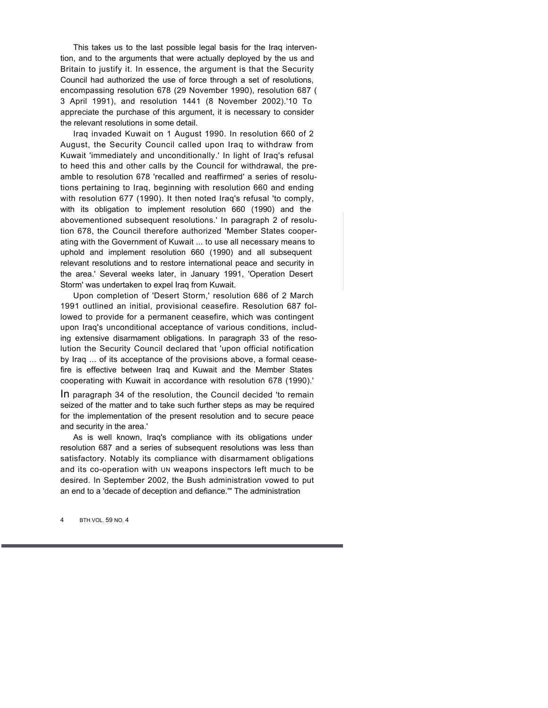This takes us to the last possible legal basis for the Iraq intervention, and to the arguments that were actually deployed by the us and Britain to justify it. In essence, the argument is that the Security Council had authorized the use of force through a set of resolutions, encompassing resolution 678 (29 November 1990), resolution 687 ( 3 April 1991), and resolution 1441 (8 November 2002).'10 To appreciate the purchase of this argument, it is necessary to consider the relevant resolutions in some detail.

Iraq invaded Kuwait on 1 August 1990. In resolution 660 of 2 August, the Security Council called upon Iraq to withdraw from Kuwait 'immediately and unconditionally.' In light of Iraq's refusal to heed this and other calls by the Council for withdrawal, the preamble to resolution 678 'recalled and reaffirmed' a series of resolutions pertaining to Iraq, beginning with resolution 660 and ending with resolution 677 (1990). It then noted Iraq's refusal 'to comply, with its obligation to implement resolution 660 (1990) and the abovementioned subsequent resolutions.' In paragraph 2 of resolution 678, the Council therefore authorized 'Member States cooperating with the Government of Kuwait ... to use all necessary means to uphold and implement resolution 660 (1990) and all subsequent relevant resolutions and to restore international peace and security in the area.' Several weeks later, in January 1991, 'Operation Desert Storm' was undertaken to expel Iraq from Kuwait.

Upon completion of 'Desert Storm,' resolution 686 of 2 March 1991 outlined an initial, provisional ceasefire. Resolution 687 followed to provide for a permanent ceasefire, which was contingent upon Iraq's unconditional acceptance of various conditions, including extensive disarmament obligations. In paragraph 33 of the resolution the Security Council declared that 'upon official notification by Iraq ... of its acceptance of the provisions above, a formal ceasefire is effective between Iraq and Kuwait and the Member States cooperating with Kuwait in accordance with resolution 678 (1990).'

In paragraph 34 of the resolution, the Council decided 'to remain seized of the matter and to take such further steps as may be required for the implementation of the present resolution and to secure peace and security in the area.'

As is well known, Iraq's compliance with its obligations under resolution 687 and a series of subsequent resolutions was less than satisfactory. Notably its compliance with disarmament obligations and its co-operation with UN weapons inspectors left much to be desired. In September 2002, the Bush administration vowed to put an end to a 'decade of deception and defiance.'" The administration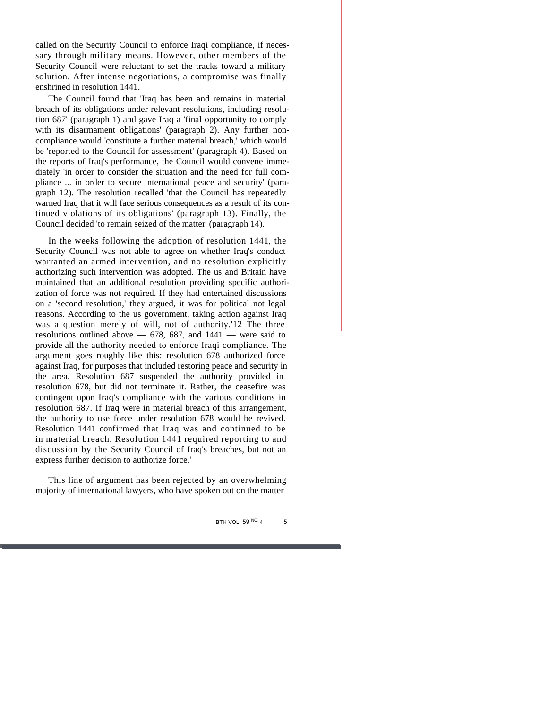called on the Security Council to enforce Iraqi compliance, if necessary through military means. However, other members of the Security Council were reluctant to set the tracks toward a military solution. After intense negotiations, a compromise was finally enshrined in resolution 1441.

The Council found that 'Iraq has been and remains in material breach of its obligations under relevant resolutions, including resolution 687' (paragraph 1) and gave Iraq a 'final opportunity to comply with its disarmament obligations' (paragraph 2). Any further noncompliance would 'constitute a further material breach,' which would be 'reported to the Council for assessment' (paragraph 4). Based on the reports of Iraq's performance, the Council would convene immediately 'in order to consider the situation and the need for full compliance ... in order to secure international peace and security' (paragraph 12). The resolution recalled 'that the Council has repeatedly warned Iraq that it will face serious consequences as a result of its continued violations of its obligations' (paragraph 13). Finally, the Council decided 'to remain seized of the matter' (paragraph 14).

In the weeks following the adoption of resolution 1441, the Security Council was not able to agree on whether Iraq's conduct warranted an armed intervention, and no resolution explicitly authorizing such intervention was adopted. The us and Britain have maintained that an additional resolution providing specific authorization of force was not required. If they had entertained discussions on a 'second resolution,' they argued, it was for political not legal reasons. According to the us government, taking action against Iraq was a question merely of will, not of authority.'12 The three resolutions outlined above  $-$  678, 687, and 1441  $-$  were said to provide all the authority needed to enforce Iraqi compliance. The argument goes roughly like this: resolution 678 authorized force against Iraq, for purposes that included restoring peace and security in the area. Resolution 687 suspended the authority provided in resolution 678, but did not terminate it. Rather, the ceasefire was contingent upon Iraq's compliance with the various conditions in resolution 687. If Iraq were in material breach of this arrangement, the authority to use force under resolution 678 would be revived. Resolution 1441 confirmed that Iraq was and continued to be in material breach. Resolution 1441 required reporting to and discussion by the Security Council of Iraq's breaches, but not an express further decision to authorize force.'

This line of argument has been rejected by an overwhelming majority of international lawyers, who have spoken out on the matter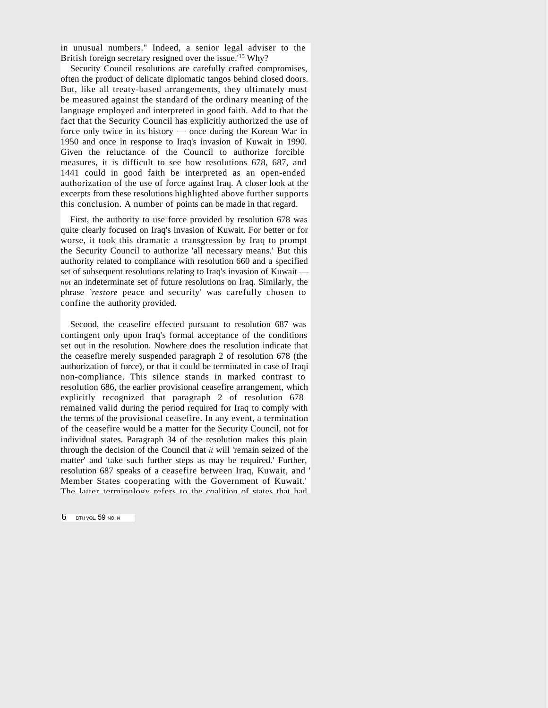in unusual numbers." Indeed, a senior legal adviser to the British foreign secretary resigned over the issue.<sup>'15</sup> Why?

Security Council resolutions are carefully crafted compromises, often the product of delicate diplomatic tangos behind closed doors. But, like all treaty-based arrangements, they ultimately must be measured against the standard of the ordinary meaning of the language employed and interpreted in good faith. Add to that the fact that the Security Council has explicitly authorized the use of force only twice in its history — once during the Korean War in 1950 and once in response to Iraq's invasion of Kuwait in 1990. Given the reluctance of the Council to authorize forcible measures, it is difficult to see how resolutions 678, 687, and 1441 could in good faith be interpreted as an open-ended authorization of the use of force against Iraq. A closer look at the excerpts from these resolutions highlighted above further supports this conclusion. A number of points can be made in that regard.

First, the authority to use force provided by resolution 678 was quite clearly focused on Iraq's invasion of Kuwait. For better or for worse, it took this dramatic a transgression by Iraq to prompt the Security Council to authorize 'all necessary means.' But this authority related to compliance with resolution 660 and a specified set of subsequent resolutions relating to Iraq's invasion of Kuwait *not* an indeterminate set of future resolutions on Iraq. Similarly, the phrase *`restore* peace and security' was carefully chosen to confine the authority provided.

Second, the ceasefire effected pursuant to resolution 687 was contingent only upon Iraq's formal acceptance of the conditions set out in the resolution. Nowhere does the resolution indicate that the ceasefire merely suspended paragraph 2 of resolution 678 (the authorization of force), or that it could be terminated in case of Iraqi non-compliance. This silence stands in marked contrast to resolution 686, the earlier provisional ceasefire arrangement, which explicitly recognized that paragraph 2 of resolution 678 remained valid during the period required for Iraq to comply with the terms of the provisional ceasefire. In any event, a termination of the ceasefire would be a matter for the Security Council, not for individual states. Paragraph 34 of the resolution makes this plain through the decision of the Council that *it* will 'remain seized of the matter' and 'take such further steps as may be required.' Further, resolution 687 speaks of a ceasefire between Iraq, Kuwait, and ' Member States cooperating with the Government of Kuwait.' The latter terminology refers to the coalition of states that had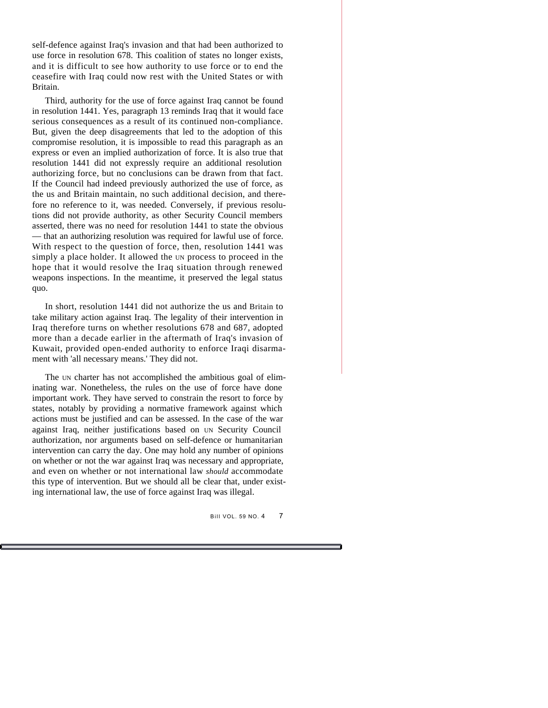self-defence against Iraq's invasion and that had been authorized to use force in resolution 678. This coalition of states no longer exists, and it is difficult to see how authority to use force or to end the ceasefire with Iraq could now rest with the United States or with Britain.

Third, authority for the use of force against Iraq cannot be found in resolution 1441. Yes, paragraph 13 reminds Iraq that it would face serious consequences as a result of its continued non-compliance. But, given the deep disagreements that led to the adoption of this compromise resolution, it is impossible to read this paragraph as an express or even an implied authorization of force. It is also true that resolution 1441 did not expressly require an additional resolution authorizing force, but no conclusions can be drawn from that fact. If the Council had indeed previously authorized the use of force, as the us and Britain maintain, no such additional decision, and therefore no reference to it, was needed. Conversely, if previous resolutions did not provide authority, as other Security Council members asserted, there was no need for resolution 1441 to state the obvious — that an authorizing resolution was required for lawful use of force. With respect to the question of force, then, resolution 1441 was simply a place holder. It allowed the UN process to proceed in the hope that it would resolve the Iraq situation through renewed weapons inspections. In the meantime, it preserved the legal status quo.

In short, resolution 1441 did not authorize the us and Britain to take military action against Iraq. The legality of their intervention in Iraq therefore turns on whether resolutions 678 and 687, adopted more than a decade earlier in the aftermath of Iraq's invasion of Kuwait, provided open-ended authority to enforce Iraqi disarmament with 'all necessary means.' They did not.

The UN charter has not accomplished the ambitious goal of eliminating war. Nonetheless, the rules on the use of force have done important work. They have served to constrain the resort to force by states, notably by providing a normative framework against which actions must be justified and can be assessed. In the case of the war against Iraq, neither justifications based on UN Security Council authorization, nor arguments based on self-defence or humanitarian intervention can carry the day. One may hold any number of opinions on whether or not the war against Iraq was necessary and appropriate, and even on whether or not international law *should* accommodate this type of intervention. But we should all be clear that, under existing international law, the use of force against Iraq was illegal.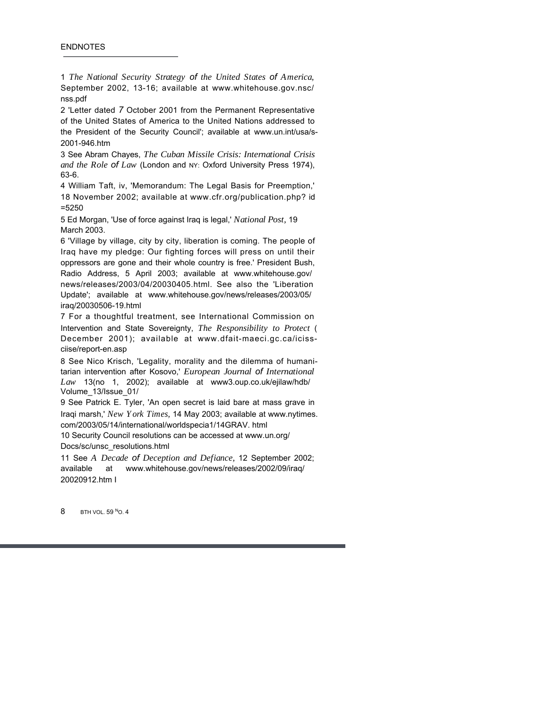1 *The National Security Strategy of the United States of America,* September 2002, 13-16; available at www.whitehouse.gov.nsc/ nss.pdf

2 'Letter dated *7* October 2001 from the Permanent Representative of the United States of America to the United Nations addressed to the President of the Security Council'; available at www.un.int/usa/s-2001-946.htm

3 See Abram Chayes, *The Cuban Missile Crisis: International Crisis and the Role of Law* (London and NY: Oxford University Press 1974), 63-6.

4 William Taft, iv, 'Memorandum: The Legal Basis for Preemption,' 18 November 2002; available at www.cfr.org/publication.php? id =5250

5 Ed Morgan, 'Use of force against Iraq is legal,' *National Post,* 19 March 2003.

6 'Village by village, city by city, liberation is coming. The people of Iraq have my pledge: Our fighting forces will press on until their oppressors are gone and their whole country is free.' President Bush, Radio Address, 5 April 2003; available at www.whitehouse.gov/ news/releases/2003/04/20030405.html. See also the 'Liberation Update'; available at www.whitehouse.gov/news/releases/2003/05/ iraq/20030506-19.html

7 For a thoughtful treatment, see International Commission on Intervention and State Sovereignty, *The Responsibility to Protect* ( December 2001); available at www.dfait-maeci.gc.ca/icissciise/report-en.asp

8 See Nico Krisch, 'Legality, morality and the dilemma of humanitarian intervention after Kosovo,' *European Journal of International Law* 13(no 1, 2002); available at www3.oup.co.uk/ejilaw/hdb/ Volume\_13/Issue\_01/

9 See Patrick E. Tyler, 'An open secret is laid bare at mass grave in Iraqi marsh,' *New York Times,* 14 May 2003; available at www.nytimes. com/2003/05/14/international/worldspecia1/14GRAV. html

10 Security Council resolutions can be accessed at www.un.org/ Docs/sc/unsc\_resolutions.html

11 See *A Decade of Deception and Defiance,* 12 September 2002; available at www.whitehouse.gov/news/releases/2002/09/iraq/ 20020912.htm I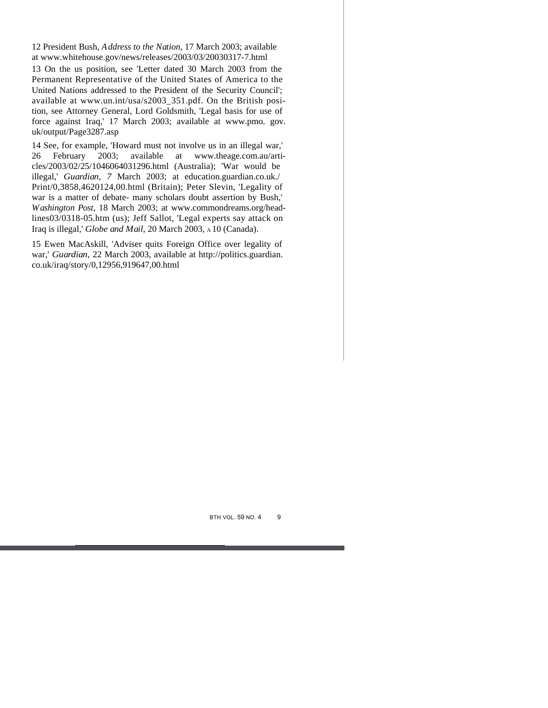12 President Bush, *Address to the Nation,* 17 March 2003; available at www.whitehouse.gov/news/releases/2003/03/20030317-7.html

13 On the us position, see 'Letter dated 30 March 2003 from the Permanent Representative of the United States of America to the United Nations addressed to the President of the Security Council'; available at www.un.int/usa/s2003\_351.pdf. On the British position, see Attorney General, Lord Goldsmith, 'Legal basis for use of force against Iraq,' 17 March 2003; available at www.pmo. gov. uk/output/Page3287.asp

14 See, for example, 'Howard must not involve us in an illegal war,' 26 February 2003; available at www.theage.com.au/articles/2003/02/25/1046064031296.html (Australia); 'War would be illegal,' *Guardian, 7* March 2003; at education.guardian.co.uk./ Print/0,3858,4620124,00.html (Britain); Peter Slevin, 'Legality of war is a matter of debate- many scholars doubt assertion by Bush,' *Washington Post,* 18 March 2003; at www.commondreams.org/headlines03/0318-05.htm (us); Jeff Sallot, 'Legal experts say attack on Iraq is illegal,' *Globe and Mail,* 20 March 2003, A 10 (Canada).

15 Ewen MacAskill, 'Adviser quits Foreign Office over legality of war,' *Guardian,* 22 March 2003, available at http://politics.guardian. co.uk/iraq/story/0,12956,919647,00.html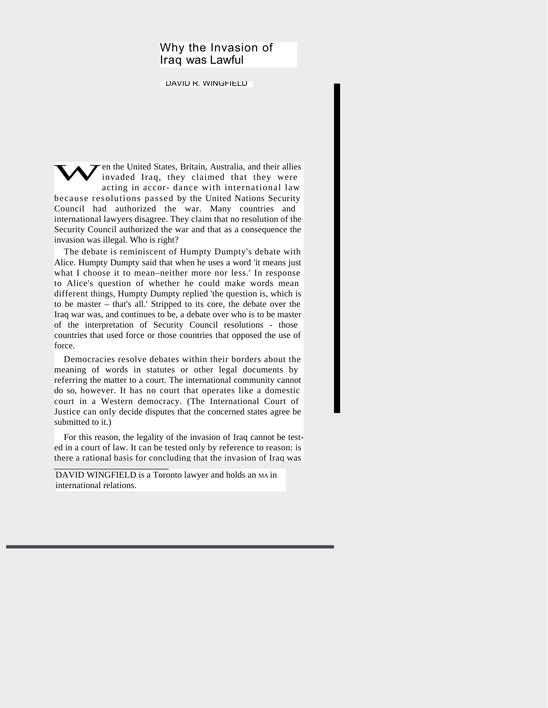## Why the Invasion of Iraq was Lawful

DAVID R. WINGFIELD

**Wen the United States, Britain, Australia, and their allies** invaded Iraq, they claimed that they were acting in accor- dance with international law because resolutions passed by the United Nations Security Council had authorized the war. Many countries and international lawyers disagree. They claim that no resolution of the Security Council authorized the war and that as a consequence the invasion was illegal. Who is right?

The debate is reminiscent of Humpty Dumpty's debate with Alice. Humpty Dumpty said that when he uses a word 'it means just what I choose it to mean–neither more nor less.' In response to Alice's question of whether he could make words mean different things, Humpty Dumpty replied 'the question is, which is to be master – that's all.' Stripped to its core, the debate over the Iraq war was, and continues to be, a debate over who is to be master of the interpretation of Security Council resolutions - those countries that used force or those countries that opposed the use of force.

Democracies resolve debates within their borders about the meaning of words in statutes or other legal documents by referring the matter to a court. The international community cannot do so, however. It has no court that operates like a domestic court in a Western democracy. (The International Court of Justice can only decide disputes that the concerned states agree be submitted to it.)

For this reason, the legality of the invasion of Iraq cannot be tested in a court of law. It can be tested only by reference to reason: is there a rational basis for concluding that the invasion of Iraq was

 $L = \frac{1}{\sqrt{1 + \frac{1}{\sqrt{1 + \frac{1}{\sqrt{1 + \frac{1}{\sqrt{1 + \frac{1}{\sqrt{1 + \frac{1}{\sqrt{1 + \frac{1}{\sqrt{1 + \frac{1}{\sqrt{1 + \frac{1}{\sqrt{1 + \frac{1}{\sqrt{1 + \frac{1}{\sqrt{1 + \frac{1}{\sqrt{1 + \frac{1}{\sqrt{1 + \frac{1}{\sqrt{1 + \frac{1}{\sqrt{1 + \frac{1}{\sqrt{1 + \frac{1}{\sqrt{1 + \frac{1}{\sqrt{1 + \frac{1}{\sqrt{1 + \frac{1}{\sqrt{1 + \frac{1}{\sqrt{1 + \frac{1}{\sqrt{$ DAVID WINGFIELD is a Toronto lawyer and holds an MA in ceded and the debate moved to the political question of whether the political question of whether the political question of whether the political question of whether the political question of whether the political question international relations.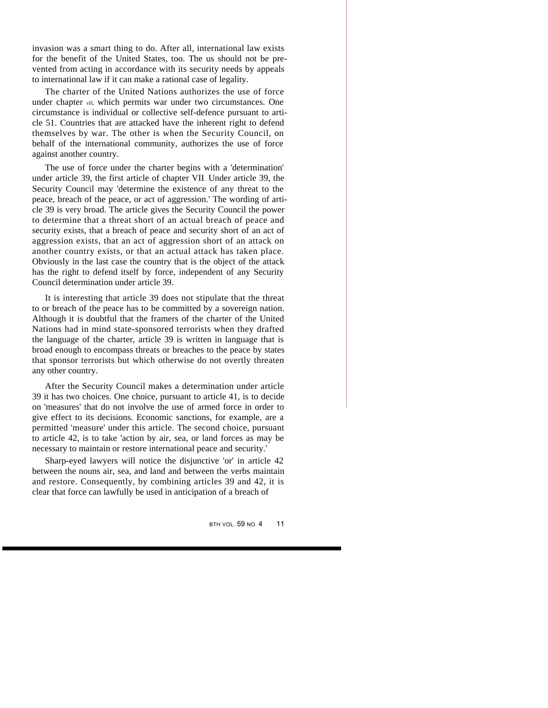invasion was a smart thing to do. After all, international law exists for the benefit of the United States, too. The us should not be prevented from acting in accordance with its security needs by appeals to international law if it can make a rational case of legality.

The charter of the United Nations authorizes the use of force under chapter vII, which permits war under two circumstances. One circumstance is individual or collective self-defence pursuant to article 51. Countries that are attacked have the inherent right to defend themselves by war. The other is when the Security Council, on behalf of the international community, authorizes the use of force against another country.

The use of force under the charter begins with a 'determination' under article 39, the first article of chapter VII. Under article 39, the Security Council may 'determine the existence of any threat to the peace, breach of the peace, or act of aggression.' The wording of article 39 is very broad. The article gives the Security Council the power to determine that a threat short of an actual breach of peace and security exists, that a breach of peace and security short of an act of aggression exists, that an act of aggression short of an attack on another country exists, or that an actual attack has taken place. Obviously in the last case the country that is the object of the attack has the right to defend itself by force, independent of any Security Council determination under article 39.

It is interesting that article 39 does not stipulate that the threat to or breach of the peace has to be committed by a sovereign nation. Although it is doubtful that the framers of the charter of the United Nations had in mind state-sponsored terrorists when they drafted the language of the charter, article 39 is written in language that is broad enough to encompass threats or breaches to the peace by states that sponsor terrorists but which otherwise do not overtly threaten any other country.

After the Security Council makes a determination under article 39 it has two choices. One choice, pursuant to article 41, is to decide on 'measures' that do not involve the use of armed force in order to give effect to its decisions. Economic sanctions, for example, are a permitted 'measure' under this article. The second choice, pursuant to article 42, is to take 'action by air, sea, or land forces as may be necessary to maintain or restore international peace and security.'

Sharp-eyed lawyers will notice the disjunctive 'or' in article 42 between the nouns air, sea, and land and between the verbs maintain and restore. Consequently, by combining articles 39 and 42, it is clear that force can lawfully be used in anticipation of a breach of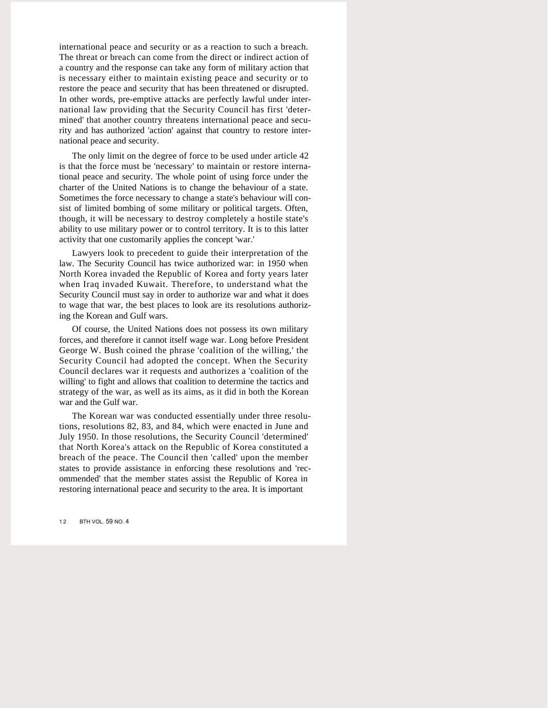international peace and security or as a reaction to such a breach. The threat or breach can come from the direct or indirect action of a country and the response can take any form of military action that is necessary either to maintain existing peace and security or to restore the peace and security that has been threatened or disrupted. In other words, pre-emptive attacks are perfectly lawful under international law providing that the Security Council has first 'determined' that another country threatens international peace and security and has authorized 'action' against that country to restore international peace and security.

The only limit on the degree of force to be used under article 42 is that the force must be 'necessary' to maintain or restore international peace and security. The whole point of using force under the charter of the United Nations is to change the behaviour of a state. Sometimes the force necessary to change a state's behaviour will consist of limited bombing of some military or political targets. Often, though, it will be necessary to destroy completely a hostile state's ability to use military power or to control territory. It is to this latter activity that one customarily applies the concept 'war.'

Lawyers look to precedent to guide their interpretation of the law. The Security Council has twice authorized war: in 1950 when North Korea invaded the Republic of Korea and forty years later when Iraq invaded Kuwait. Therefore, to understand what the Security Council must say in order to authorize war and what it does to wage that war, the best places to look are its resolutions authorizing the Korean and Gulf wars.

Of course, the United Nations does not possess its own military forces, and therefore it cannot itself wage war. Long before President George W. Bush coined the phrase 'coalition of the willing,' the Security Council had adopted the concept. When the Security Council declares war it requests and authorizes a 'coalition of the willing' to fight and allows that coalition to determine the tactics and strategy of the war, as well as its aims, as it did in both the Korean war and the Gulf war.

The Korean war was conducted essentially under three resolutions, resolutions 82, 83, and 84, which were enacted in June and July 1950. In those resolutions, the Security Council 'determined' that North Korea's attack on the Republic of Korea constituted a breach of the peace. The Council then 'called' upon the member states to provide assistance in enforcing these resolutions and 'recommended' that the member states assist the Republic of Korea in restoring international peace and security to the area. It is important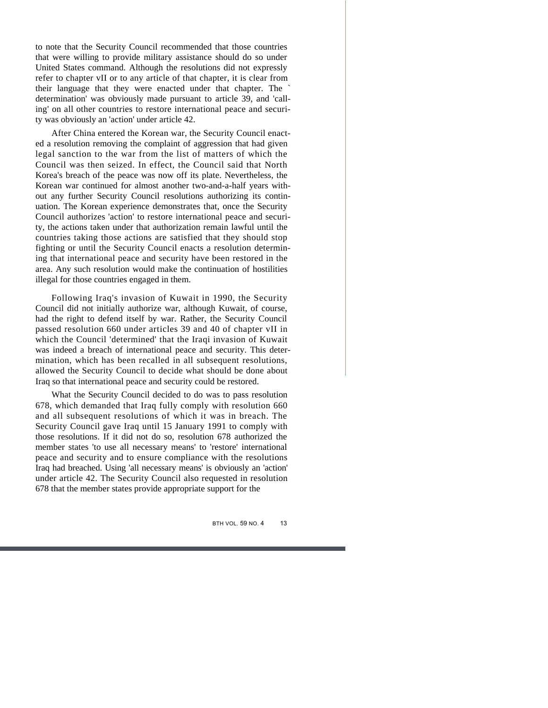to note that the Security Council recommended that those countries that were willing to provide military assistance should do so under United States command. Although the resolutions did not expressly refer to chapter vII or to any article of that chapter, it is clear from their language that they were enacted under that chapter. The ` determination' was obviously made pursuant to article 39, and 'calling' on all other countries to restore international peace and security was obviously an 'action' under article 42.

After China entered the Korean war, the Security Council enacted a resolution removing the complaint of aggression that had given legal sanction to the war from the list of matters of which the Council was then seized. In effect, the Council said that North Korea's breach of the peace was now off its plate. Nevertheless, the Korean war continued for almost another two-and-a-half years without any further Security Council resolutions authorizing its continuation. The Korean experience demonstrates that, once the Security Council authorizes 'action' to restore international peace and security, the actions taken under that authorization remain lawful until the countries taking those actions are satisfied that they should stop fighting or until the Security Council enacts a resolution determining that international peace and security have been restored in the area. Any such resolution would make the continuation of hostilities illegal for those countries engaged in them.

Following Iraq's invasion of Kuwait in 1990, the Security Council did not initially authorize war, although Kuwait, of course, had the right to defend itself by war. Rather, the Security Council passed resolution 660 under articles 39 and 40 of chapter vII in which the Council 'determined' that the Iraqi invasion of Kuwait was indeed a breach of international peace and security. This determination, which has been recalled in all subsequent resolutions, allowed the Security Council to decide what should be done about Iraq so that international peace and security could be restored.

What the Security Council decided to do was to pass resolution 678, which demanded that Iraq fully comply with resolution 660 and all subsequent resolutions of which it was in breach. The Security Council gave Iraq until 15 January 1991 to comply with those resolutions. If it did not do so, resolution 678 authorized the member states 'to use all necessary means' to 'restore' international peace and security and to ensure compliance with the resolutions Iraq had breached. Using 'all necessary means' is obviously an 'action' under article 42. The Security Council also requested in resolution 678 that the member states provide appropriate support for the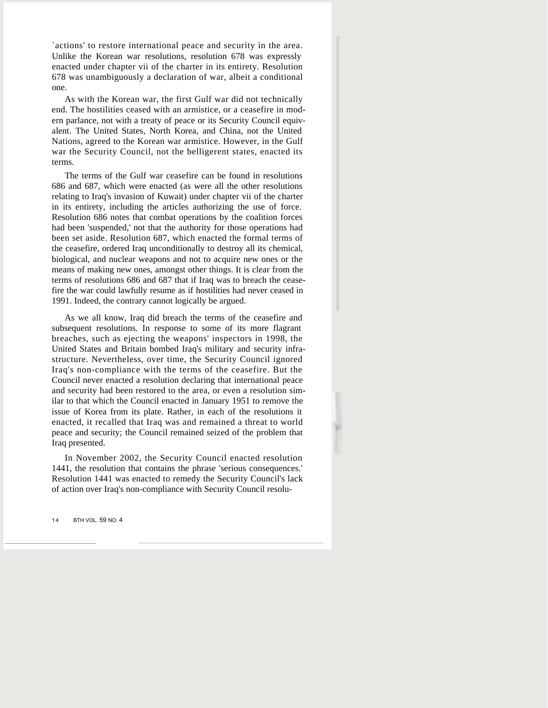`actions' to restore international peace and security in the area. Unlike the Korean war resolutions, resolution 678 was expressly enacted under chapter vii of the charter in its entirety. Resolution 678 was unambiguously a declaration of war, albeit a conditional one.

As with the Korean war, the first Gulf war did not technically end. The hostilities ceased with an armistice, or a ceasefire in modern parlance, not with a treaty of peace or its Security Council equivalent. The United States, North Korea, and China, not the United Nations, agreed to the Korean war armistice. However, in the Gulf war the Security Council, not the belligerent states, enacted its terms.

The terms of the Gulf war ceasefire can be found in resolutions 686 and 687, which were enacted (as were all the other resolutions relating to Iraq's invasion of Kuwait) under chapter vii of the charter in its entirety, including the articles authorizing the use of force. Resolution 686 notes that combat operations by the coalition forces had been 'suspended,' not that the authority for those operations had been set aside. Resolution 687, which enacted the formal terms of the ceasefire, ordered Iraq unconditionally to destroy all its chemical, biological, and nuclear weapons and not to acquire new ones or the means of making new ones, amongst other things. It is clear from the terms of resolutions 686 and 687 that if Iraq was to breach the ceasefire the war could lawfully resume as if hostilities had never ceased in 1991. Indeed, the contrary cannot logically be argued.

As we all know, Iraq did breach the terms of the ceasefire and subsequent resolutions. In response to some of its more flagrant breaches, such as ejecting the weapons' inspectors in 1998, the United States and Britain bombed Iraq's military and security infrastructure. Nevertheless, over time, the Security Council ignored Iraq's non-compliance with the terms of the ceasefire. But the Council never enacted a resolution declaring that international peace and security had been restored to the area, or even a resolution similar to that which the Council enacted in January 1951 to remove the issue of Korea from its plate. Rather, in each of the resolutions it enacted, it recalled that Iraq was and remained a threat to world peace and security; the Council remained seized of the problem that Iraq presented.

In November 2002, the Security Council enacted resolution 1441, the resolution that contains the phrase 'serious consequences.' Resolution 1441 was enacted to remedy the Security Council's lack of action over Iraq's non-compliance with Security Council resolu-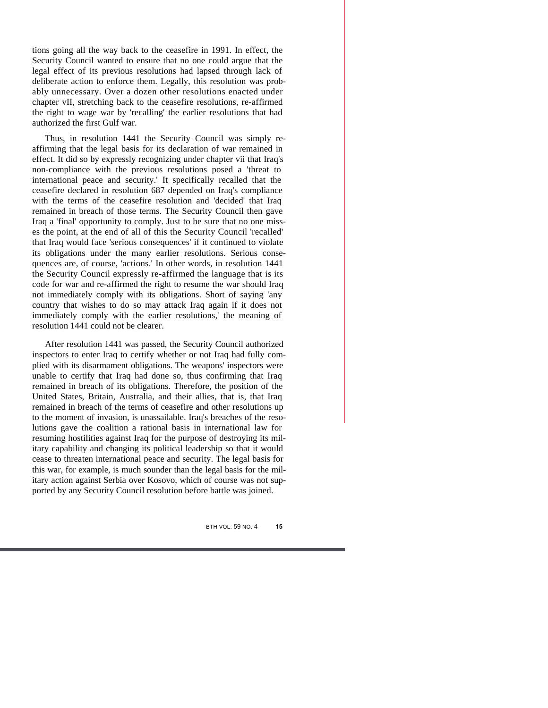tions going all the way back to the ceasefire in 1991. In effect, the Security Council wanted to ensure that no one could argue that the legal effect of its previous resolutions had lapsed through lack of deliberate action to enforce them. Legally, this resolution was probably unnecessary. Over a dozen other resolutions enacted under chapter vII, stretching back to the ceasefire resolutions, re-affirmed the right to wage war by 'recalling' the earlier resolutions that had authorized the first Gulf war.

Thus, in resolution 1441 the Security Council was simply reaffirming that the legal basis for its declaration of war remained in effect. It did so by expressly recognizing under chapter vii that Iraq's non-compliance with the previous resolutions posed a 'threat to international peace and security.' It specifically recalled that the ceasefire declared in resolution 687 depended on Iraq's compliance with the terms of the ceasefire resolution and 'decided' that Iraq remained in breach of those terms. The Security Council then gave Iraq a 'final' opportunity to comply. Just to be sure that no one misses the point, at the end of all of this the Security Council 'recalled' that Iraq would face 'serious consequences' if it continued to violate its obligations under the many earlier resolutions. Serious consequences are, of course, 'actions.' In other words, in resolution 1441 the Security Council expressly re-affirmed the language that is its code for war and re-affirmed the right to resume the war should Iraq not immediately comply with its obligations. Short of saying 'any country that wishes to do so may attack Iraq again if it does not immediately comply with the earlier resolutions,' the meaning of resolution 1441 could not be clearer.

After resolution 1441 was passed, the Security Council authorized inspectors to enter Iraq to certify whether or not Iraq had fully complied with its disarmament obligations. The weapons' inspectors were unable to certify that Iraq had done so, thus confirming that Iraq remained in breach of its obligations. Therefore, the position of the United States, Britain, Australia, and their allies, that is, that Iraq remained in breach of the terms of ceasefire and other resolutions up to the moment of invasion, is unassailable. Iraq's breaches of the resolutions gave the coalition a rational basis in international law for resuming hostilities against Iraq for the purpose of destroying its military capability and changing its political leadership so that it would cease to threaten international peace and security. The legal basis for this war, for example, is much sounder than the legal basis for the military action against Serbia over Kosovo, which of course was not supported by any Security Council resolution before battle was joined.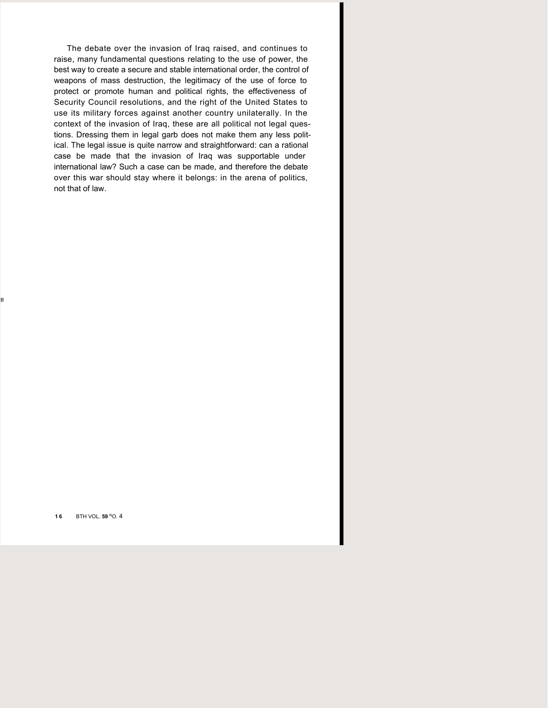The debate over the invasion of Iraq raised, and continues to raise, many fundamental questions relating to the use of power, the best way to create a secure and stable international order, the control of weapons of mass destruction, the legitimacy of the use of force to protect or promote human and political rights, the effectiveness of Security Council resolutions, and the right of the United States to use its military forces against another country unilaterally. In the context of the invasion of Iraq, these are all political not legal questions. Dressing them in legal garb does not make them any less political. The legal issue is quite narrow and straightforward: can a rational case be made that the invasion of Iraq was supportable under international law? Such a case can be made, and therefore the debate over this war should stay where it belongs: in the arena of politics, not that of law.

II